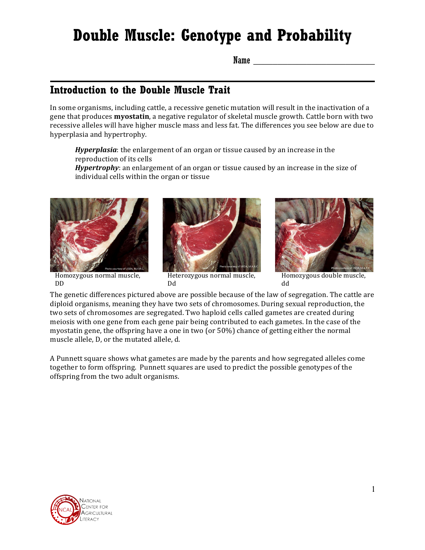# **Double Muscle: Genotype and Probability**

Name \_\_\_\_\_\_\_\_\_\_\_\_\_\_\_\_\_\_\_\_\_\_\_\_\_

#### **Introduction to the Double Muscle Trait**

In some organisms, including cattle, a recessive genetic mutation will result in the inactivation of a gene that produces **myostatin**, a negative regulator of skeletal muscle growth. Cattle born with two recessive alleles will have higher muscle mass and less fat. The differences you see below are due to hyperplasia and hypertrophy.

*Hyperplasia*: the enlargement of an organ or tissue caused by an increase in the reproduction of its cells

*Hypertrophy*: an enlargement of an organ or tissue caused by an increase in the size of individual cells within the organ or tissue



Homozygous normal muscle, DD







Homozygous double muscle, dd

The genetic differences pictured above are possible because of the law of segregation. The cattle are diploid organisms, meaning they have two sets of chromosomes. During sexual reproduction, the two sets of chromosomes are segregated. Two haploid cells called gametes are created during meiosis with one gene from each gene pair being contributed to each gametes. In the case of the myostatin gene, the offspring have a one in two (or  $50\%$ ) chance of getting either the normal muscle allele, D, or the mutated allele, d.

A Punnett square shows what gametes are made by the parents and how segregated alleles come together to form offspring. Punnett squares are used to predict the possible genotypes of the offspring from the two adult organisms.

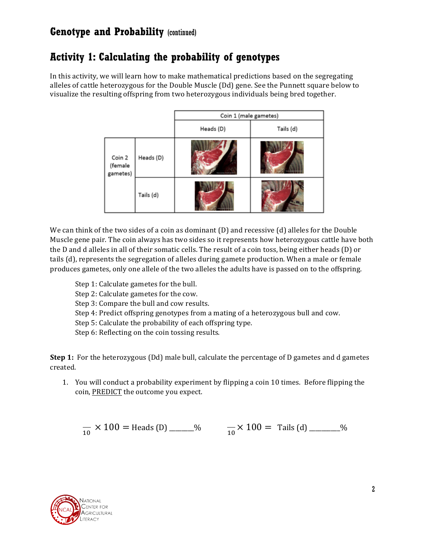# **Activity 1: Calculating the probability of genotypes**

In this activity, we will learn how to make mathematical predictions based on the segregating alleles of cattle heterozygous for the Double Muscle (Dd) gene. See the Punnett square below to visualize the resulting offspring from two heterozygous individuals being bred together.

|                               |           | Coin 1 (male gametes) |           |  |
|-------------------------------|-----------|-----------------------|-----------|--|
|                               |           | Heads (D)             | Tails (d) |  |
| Coin 2<br>(female<br>gametes) | Heads (D) | <b>PUTATION</b>       |           |  |
|                               | Tails (d) |                       |           |  |

We can think of the two sides of a coin as dominant  $(D)$  and recessive  $(d)$  alleles for the Double Muscle gene pair. The coin always has two sides so it represents how heterozygous cattle have both the D and d alleles in all of their somatic cells. The result of a coin toss, being either heads (D) or tails (d), represents the segregation of alleles during gamete production. When a male or female produces gametes, only one allele of the two alleles the adults have is passed on to the offspring.

- Step 1: Calculate gametes for the bull.
- Step 2: Calculate gametes for the cow.
- Step 3: Compare the bull and cow results.
- Step 4: Predict offspring genotypes from a mating of a heterozygous bull and cow.
- Step 5: Calculate the probability of each offspring type.

Step 6: Reflecting on the coin tossing results.

**Step 1:** For the heterozygous (Dd) male bull, calculate the percentage of D gametes and d gametes created.

1. You will conduct a probability experiment by flipping a coin 10 times. Before flipping the coin, PREDICT the outcome you expect.

$$
\frac{1}{10} \times 100 = \text{Heads (D)}
$$
  $\frac{10}{10}$ 

 $\frac{1}{10}$  × 100 = Tails (d) \_\_\_\_\_\_\_%

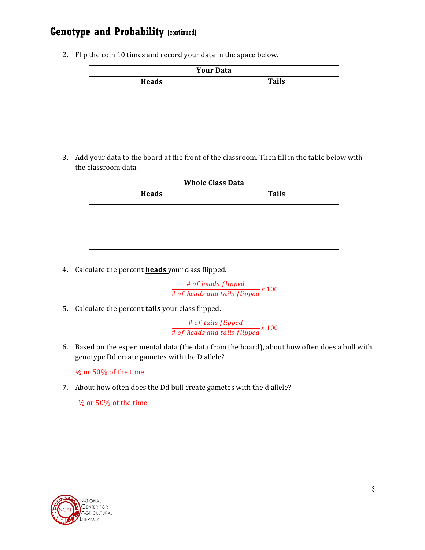2. Flip the coin 10 times and record your data in the space below.

| <b>Your Data</b> |              |  |  |
|------------------|--------------|--|--|
| <b>Heads</b>     | <b>Tails</b> |  |  |
|                  |              |  |  |
|                  |              |  |  |
|                  |              |  |  |
|                  |              |  |  |

3. Add your data to the board at the front of the classroom. Then fill in the table below with the classroom data.

| <b>Whole Class Data</b> |              |  |  |  |
|-------------------------|--------------|--|--|--|
| <b>Heads</b>            | <b>Tails</b> |  |  |  |
|                         |              |  |  |  |
|                         |              |  |  |  |
|                         |              |  |  |  |
|                         |              |  |  |  |

4. Calculate the percent **heads** your class flipped.

# of heads flipped<br># of heads and tails flipped x 100

5. Calculate the percent **tails** your class flipped.

 $\frac{\# of \ tails \ flipped}{\# of \ heads \ and \ tails \ flipped} x \ 100$ 

6. Based on the experimental data (the data from the board), about how often does a bull with genotype Dd create gametes with the D allele?

 $\frac{1}{2}$  or 50% of the time

7. About how often does the Dd bull create gametes with the d allele?

 $\frac{1}{2}$  or 50% of the time

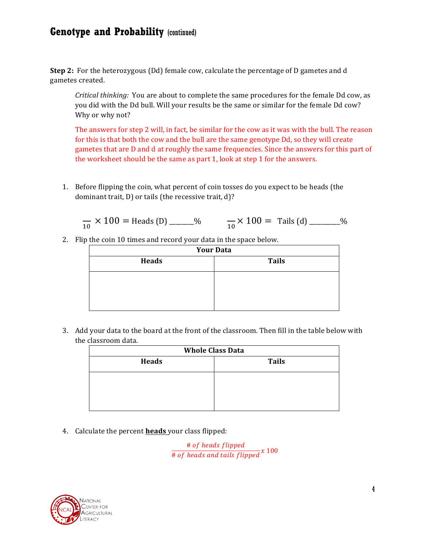**Step 2:** For the heterozygous (Dd) female cow, calculate the percentage of D gametes and d gametes created.

*Critical thinking:* You are about to complete the same procedures for the female Dd cow, as you did with the Dd bull. Will your results be the same or similar for the female Dd cow? Why or why not?

The answers for step 2 will, in fact, be similar for the cow as it was with the bull. The reason for this is that both the cow and the bull are the same genotype Dd, so they will create gametes that are D and d at roughly the same frequencies. Since the answers for this part of the worksheet should be the same as part 1, look at step 1 for the answers.

1. Before flipping the coin, what percent of coin tosses do you expect to be heads (the dominant trait,  $D$ ) or tails (the recessive trait,  $d$ )?

!" <sup>×</sup> <sup>100</sup> <sup>=</sup> Heads (D) \_\_\_\_\_\_\_\_% !" × 100 = Tails (d) \_\_\_\_\_\_\_\_\_\_%

2. Flip the coin 10 times and record your data in the space below.

| <b>Your Data</b> |              |  |  |
|------------------|--------------|--|--|
| <b>Heads</b>     | <b>Tails</b> |  |  |
|                  |              |  |  |
|                  |              |  |  |
|                  |              |  |  |
|                  |              |  |  |

3. Add your data to the board at the front of the classroom. Then fill in the table below with the classroom data.

| <b>Whole Class Data</b> |              |  |  |
|-------------------------|--------------|--|--|
| <b>Heads</b>            | <b>Tails</b> |  |  |
|                         |              |  |  |
|                         |              |  |  |
|                         |              |  |  |

4. Calculate the percent **heads** your class flipped:

 $\frac{\# \text{ of heads flipped}}{\# \text{ of heads and tails flipped}} x 100$ 

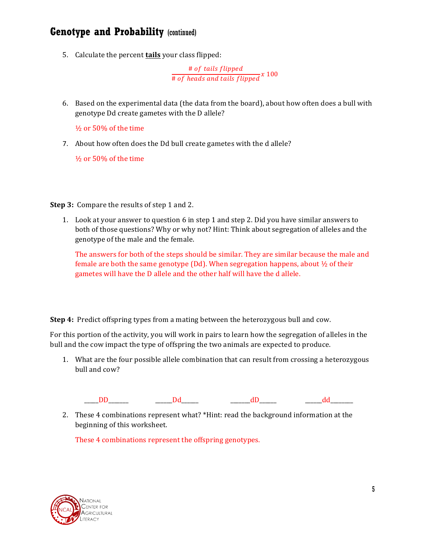5. Calculate the percent **tails** your class flipped:

 $\frac{\# of \ tails \ flipped}{\# of \ heads \ and \ tails \ flipped} x \ 100$ 

6. Based on the experimental data (the data from the board), about how often does a bull with genotype Dd create gametes with the D allele?

 $\frac{1}{2}$  or 50% of the time

7. About how often does the Dd bull create gametes with the d allele?

 $\frac{1}{2}$  or 50% of the time

**Step 3:** Compare the results of step 1 and 2.

1. Look at your answer to question 6 in step 1 and step 2. Did you have similar answers to both of those questions? Why or why not? Hint: Think about segregation of alleles and the genotype of the male and the female.

The answers for both of the steps should be similar. They are similar because the male and female are both the same genotype  $\lceil \text{Dd} \rceil$ . When segregation happens, about  $\frac{1}{2}$  of their gametes will have the D allele and the other half will have the d allele.

**Step 4:** Predict offspring types from a mating between the heterozygous bull and cow.

For this portion of the activity, you will work in pairs to learn how the segregation of alleles in the bull and the cow impact the type of offspring the two animals are expected to produce.

1. What are the four possible allele combination that can result from crossing a heterozygous bull and cow?

 \_\_\_\_\_DD\_\_\_\_\_\_\_ \_\_\_\_\_\_Dd\_\_\_\_\_\_ \_\_\_\_\_\_\_dD\_\_\_\_\_\_ \_\_\_\_\_\_dd\_\_\_\_\_\_\_\_

2. These 4 combinations represent what? \*Hint: read the background information at the beginning of this worksheet.

These 4 combinations represent the offspring genotypes.

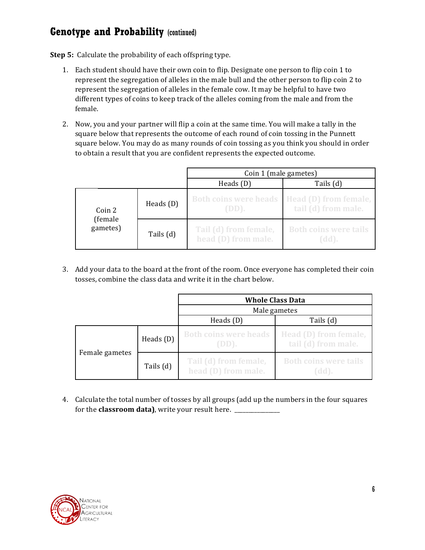**Step 5:** Calculate the probability of each offspring type.

- 1. Each student should have their own coin to flip. Designate one person to flip coin 1 to represent the segregation of alleles in the male bull and the other person to flip coin 2 to represent the segregation of alleles in the female cow. It may be helpful to have two different types of coins to keep track of the alleles coming from the male and from the female.
- 2. Now, you and your partner will flip a coin at the same time. You will make a tally in the square below that represents the outcome of each round of coin tossing in the Punnett square below. You may do as many rounds of coin tossing as you think you should in order to obtain a result that you are confident represents the expected outcome.

|                     |             | Coin 1 (male gametes)                        |                                              |  |
|---------------------|-------------|----------------------------------------------|----------------------------------------------|--|
|                     |             | Heads $(D)$                                  | Tails (d)                                    |  |
| Coin 2              | Heads $(D)$ | <b>Both coins were heads</b><br>$(DD)$ .     | Head (D) from female,<br>tail (d) from male. |  |
| (female<br>gametes) | Tails (d)   | Tail (d) from female,<br>head (D) from male. | <b>Both coins were tails</b><br>(dd).        |  |

3. Add your data to the board at the front of the room. Once everyone has completed their coin tosses, combine the class data and write it in the chart below.

|                |             | <b>Whole Class Data</b>                      |                                              |  |
|----------------|-------------|----------------------------------------------|----------------------------------------------|--|
|                |             | Male gametes                                 |                                              |  |
|                |             | Tails (d)<br>Heads $(D)$                     |                                              |  |
|                | Heads $(D)$ | <b>Both coins were heads</b><br>$(DD)$ .     | Head (D) from female,<br>tail (d) from male. |  |
| Female gametes | Tails (d)   | Tail (d) from female,<br>head (D) from male. | <b>Both coins were tails</b><br>(dd).        |  |

4. Calculate the total number of tosses by all groups (add up the numbers in the four squares for the **classroom data)**, write your result here. \_\_\_\_\_\_\_\_\_\_\_\_\_\_\_\_

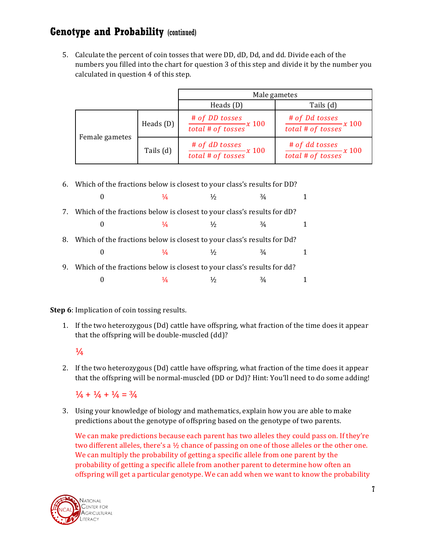5. Calculate the percent of coin tosses that were DD, dD, Dd, and dd. Divide each of the numbers you filled into the chart for question 3 of this step and divide it by the number you calculated in question 4 of this step.

|                |             | Male gametes                                                        |                                                                     |  |
|----------------|-------------|---------------------------------------------------------------------|---------------------------------------------------------------------|--|
|                |             | Heads $(D)$                                                         | Tails (d)                                                           |  |
| Female gametes | Heads $(D)$ | # of DD tosses<br>$\frac{1}{\text{total} + \text{of tosses}} x 100$ | # of Dd tosses<br>$\frac{1}{\text{total} + \text{of tosses}} x 100$ |  |
|                | Tails (d)   | $\frac{\# of \; dD \; tosses}{total \; # \; of \; tosses} x \; 100$ | $\frac{\# of\ dd\ tosses}{\qquad}x\ 100$                            |  |

|    | 6. Which of the fractions below is closest to your class's results for DD? |               |               |               |  |
|----|----------------------------------------------------------------------------|---------------|---------------|---------------|--|
|    | $\Omega$                                                                   | $\frac{1}{4}$ | $\frac{1}{2}$ | $\frac{3}{4}$ |  |
|    | 7. Which of the fractions below is closest to your class's results for dD? |               |               |               |  |
|    | $\Omega$                                                                   | $\frac{1}{4}$ | 1/2           | $\frac{3}{4}$ |  |
| 8. | Which of the fractions below is closest to your class's results for Dd?    |               |               |               |  |
|    | $\Omega$                                                                   | $\frac{1}{4}$ | $\frac{1}{2}$ | $\frac{3}{4}$ |  |
| 9. | Which of the fractions below is closest to your class's results for dd?    |               |               |               |  |
|    | $\cup$                                                                     | ¼             | $\frac{1}{2}$ | $\frac{3}{4}$ |  |

**Step 6**: Implication of coin tossing results.

1. If the two heterozygous (Dd) cattle have offspring, what fraction of the time does it appear that the offspring will be double-muscled (dd)?

#### $\frac{1}{4}$

2. If the two heterozygous (Dd) cattle have offspring, what fraction of the time does it appear that the offspring will be normal-muscled (DD or Dd)? Hint: You'll need to do some adding!

 $\frac{1}{4} + \frac{1}{4} + \frac{1}{4} = \frac{3}{4}$ 

3. Using your knowledge of biology and mathematics, explain how you are able to make predictions about the genotype of offspring based on the genotype of two parents.

We can make predictions because each parent has two alleles they could pass on. If they're two different alleles, there's a  $\frac{1}{2}$  chance of passing on one of those alleles or the other one. We can multiply the probability of getting a specific allele from one parent by the probability of getting a specific allele from another parent to determine how often an offspring will get a particular genotype. We can add when we want to know the probability